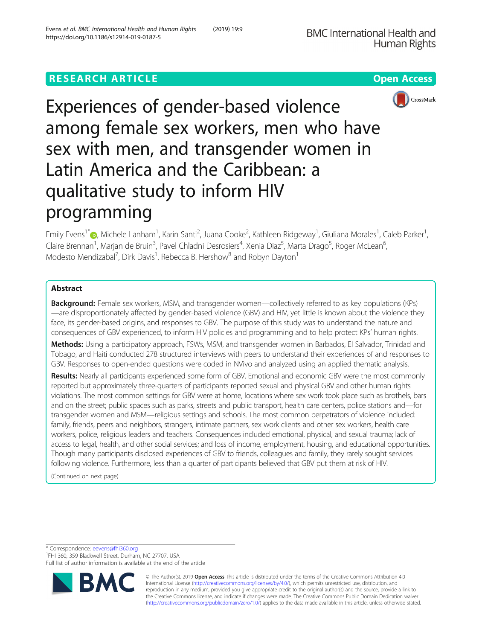# **RESEARCH ARTICLE Example 2018 12:30 THE Open Access**





Experiences of gender-based violence among female sex workers, men who have sex with men, and transgender women in Latin America and the Caribbean: a qualitative study to inform HIV programming

Emily Evens<sup>1[\\*](http://orcid.org/0000-0002-7369-458X)</sup>®, Michele Lanham<sup>1</sup>, Karin Santi<sup>2</sup>, Juana Cooke<sup>2</sup>, Kathleen Ridgeway<sup>1</sup>, Giuliana Morales<sup>1</sup>, Caleb Parker<sup>1</sup> , Claire Brennan<sup>1</sup>, Marjan de Bruin<sup>3</sup>, Pavel Chladni Desrosiers<sup>4</sup>, Xenia Diaz<sup>5</sup>, Marta Drago<sup>5</sup>, Roger McLean<sup>6</sup> .<br>, Modesto Mendizabal<sup>7</sup>, Dirk Davis<sup>1</sup>, Rebecca B. Hershow<sup>8</sup> and Robyn Dayton<sup>1</sup>

## Abstract

**Background:** Female sex workers, MSM, and transgender women—collectively referred to as key populations (KPs) —are disproportionately affected by gender-based violence (GBV) and HIV, yet little is known about the violence they face, its gender-based origins, and responses to GBV. The purpose of this study was to understand the nature and consequences of GBV experienced, to inform HIV policies and programming and to help protect KPs' human rights.

Methods: Using a participatory approach, FSWs, MSM, and transgender women in Barbados, El Salvador, Trinidad and Tobago, and Haiti conducted 278 structured interviews with peers to understand their experiences of and responses to GBV. Responses to open-ended questions were coded in NVivo and analyzed using an applied thematic analysis.

Results: Nearly all participants experienced some form of GBV. Emotional and economic GBV were the most commonly reported but approximately three-quarters of participants reported sexual and physical GBV and other human rights violations. The most common settings for GBV were at home, locations where sex work took place such as brothels, bars and on the street; public spaces such as parks, streets and public transport, health care centers, police stations and—for transgender women and MSM—religious settings and schools. The most common perpetrators of violence included: family, friends, peers and neighbors, strangers, intimate partners, sex work clients and other sex workers, health care workers, police, religious leaders and teachers. Consequences included emotional, physical, and sexual trauma; lack of access to legal, health, and other social services; and loss of income, employment, housing, and educational opportunities. Though many participants disclosed experiences of GBV to friends, colleagues and family, they rarely sought services following violence. Furthermore, less than a quarter of participants believed that GBV put them at risk of HIV.

(Continued on next page)

\* Correspondence: [eevens@fhi360.org](mailto:eevens@fhi360.org) <sup>1</sup>

<sup>1</sup>FHI 360, 359 Blackwell Street, Durham, NC 27707, USA Full list of author information is available at the end of the article



© The Author(s). 2019 **Open Access** This article is distributed under the terms of the Creative Commons Attribution 4.0 International License [\(http://creativecommons.org/licenses/by/4.0/](http://creativecommons.org/licenses/by/4.0/)), which permits unrestricted use, distribution, and reproduction in any medium, provided you give appropriate credit to the original author(s) and the source, provide a link to the Creative Commons license, and indicate if changes were made. The Creative Commons Public Domain Dedication waiver [\(http://creativecommons.org/publicdomain/zero/1.0/](http://creativecommons.org/publicdomain/zero/1.0/)) applies to the data made available in this article, unless otherwise stated.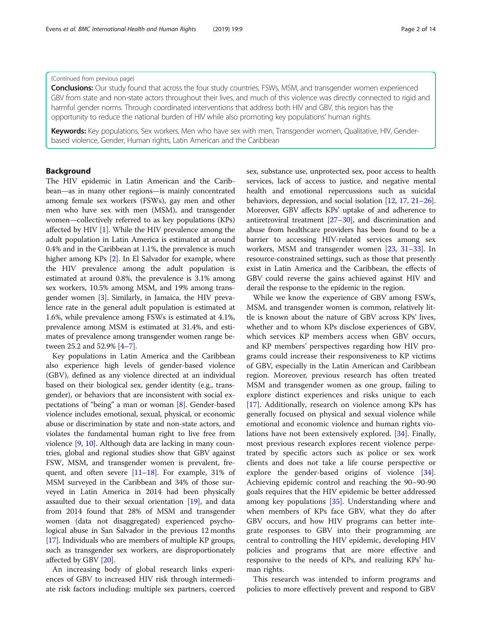### (Continued from previous page)

Conclusions: Our study found that across the four study countries, FSWs, MSM, and transgender women experienced GBV from state and non-state actors throughout their lives, and much of this violence was directly connected to rigid and harmful gender norms. Through coordinated interventions that address both HIV and GBV, this region has the opportunity to reduce the national burden of HIV while also promoting key populations' human rights.

Keywords: Key populations, Sex workers, Men who have sex with men, Transgender women, Qualitative, HIV, Genderbased violence, Gender, Human rights, Latin American and the Caribbean

### Background

The HIV epidemic in Latin American and the Caribbean—as in many other regions—is mainly concentrated among female sex workers (FSWs), gay men and other men who have sex with men (MSM), and transgender women—collectively referred to as key populations (KPs) affected by HIV [\[1](#page-12-0)]. While the HIV prevalence among the adult population in Latin America is estimated at around 0.4% and in the Caribbean at 1.1%, the prevalence is much higher among KPs [\[2](#page-12-0)]. In El Salvador for example, where the HIV prevalence among the adult population is estimated at around 0.8%, the prevalence is 3.1% among sex workers, 10.5% among MSM, and 19% among transgender women [\[3](#page-12-0)]. Similarly, in Jamaica, the HIV prevalence rate in the general adult population is estimated at 1.6%, while prevalence among FSWs is estimated at 4.1%, prevalence among MSM is estimated at 31.4%, and estimates of prevalence among transgender women range between 25.2 and 52.9% [[4](#page-12-0)–[7](#page-12-0)].

Key populations in Latin America and the Caribbean also experience high levels of gender-based violence (GBV), defined as any violence directed at an individual based on their biological sex, gender identity (e.g., transgender), or behaviors that are inconsistent with social expectations of "being" a man or woman [\[8](#page-12-0)]. Gender-based violence includes emotional, sexual, physical, or economic abuse or discrimination by state and non-state actors, and violates the fundamental human right to live free from violence [[9](#page-12-0), [10](#page-12-0)]. Although data are lacking in many countries, global and regional studies show that GBV against FSW, MSM, and transgender women is prevalent, frequent, and often severe  $[11–18]$  $[11–18]$  $[11–18]$  $[11–18]$ . For example, 31% of MSM surveyed in the Caribbean and 34% of those surveyed in Latin America in 2014 had been physically assaulted due to their sexual orientation [[19](#page-12-0)], and data from 2014 found that 28% of MSM and transgender women (data not disaggregated) experienced psychological abuse in San Salvador in the previous 12 months [[17](#page-12-0)]. Individuals who are members of multiple KP groups, such as transgender sex workers, are disproportionately affected by GBV [[20](#page-12-0)].

An increasing body of global research links experiences of GBV to increased HIV risk through intermediate risk factors including: multiple sex partners, coerced sex, substance use, unprotected sex, poor access to health services, lack of access to justice, and negative mental health and emotional repercussions such as suicidal behaviors, depression, and social isolation [[12](#page-12-0), [17](#page-12-0), [21](#page-12-0)–[26](#page-12-0)]. Moreover, GBV affects KPs' uptake of and adherence to antiretroviral treatment [[27](#page-12-0)–[30\]](#page-12-0), and discrimination and abuse from healthcare providers has been found to be a barrier to accessing HIV-related services among sex workers, MSM and transgender women [\[23,](#page-12-0) [31](#page-12-0)–[33](#page-12-0)]. In resource-constrained settings, such as those that presently exist in Latin America and the Caribbean, the effects of GBV could reverse the gains achieved against HIV and derail the response to the epidemic in the region.

While we know the experience of GBV among FSWs, MSM, and transgender women is common, relatively little is known about the nature of GBV across KPs' lives, whether and to whom KPs disclose experiences of GBV, which services KP members access when GBV occurs, and KP members' perspectives regarding how HIV programs could increase their responsiveness to KP victims of GBV, especially in the Latin American and Caribbean region. Moreover, previous research has often treated MSM and transgender women as one group, failing to explore distinct experiences and risks unique to each [[17\]](#page-12-0). Additionally, research on violence among KPs has generally focused on physical and sexual violence while emotional and economic violence and human rights violations have not been extensively explored. [[34](#page-12-0)]. Finally, most previous research explores recent violence perpetrated by specific actors such as police or sex work clients and does not take a life course perspective or explore the gender-based origins of violence [\[34](#page-12-0)]. Achieving epidemic control and reaching the 90–90-90 goals requires that the HIV epidemic be better addressed among key populations [\[35](#page-12-0)]. Understanding where and when members of KPs face GBV, what they do after GBV occurs, and how HIV programs can better integrate responses to GBV into their programming are central to controlling the HIV epidemic, developing HIV policies and programs that are more effective and responsive to the needs of KPs, and realizing KPs' human rights.

This research was intended to inform programs and policies to more effectively prevent and respond to GBV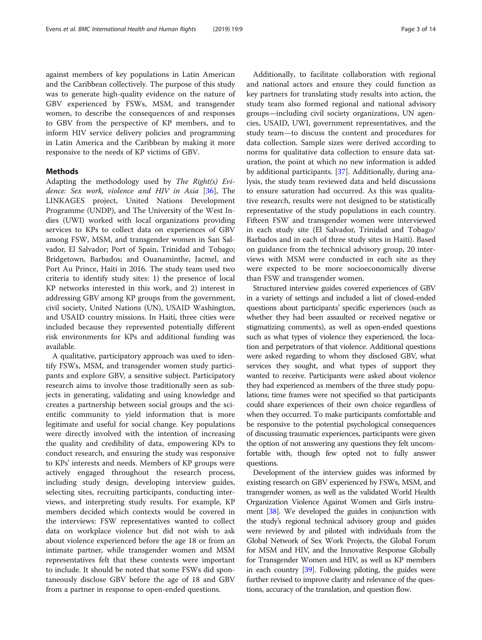against members of key populations in Latin American and the Caribbean collectively. The purpose of this study was to generate high-quality evidence on the nature of GBV experienced by FSWs, MSM, and transgender women, to describe the consequences of and responses to GBV from the perspective of KP members, and to inform HIV service delivery policies and programming in Latin America and the Caribbean by making it more responsive to the needs of KP victims of GBV.

### Methods

Adapting the methodology used by The Right(s) Evi-dence: Sex work, violence and HIV in Asia [\[36](#page-12-0)], The LINKAGES project, United Nations Development Programme (UNDP), and The University of the West Indies (UWI) worked with local organizations providing services to KPs to collect data on experiences of GBV among FSW, MSM, and transgender women in San Salvador, El Salvador; Port of Spain, Trinidad and Tobago; Bridgetown, Barbados; and Ouanaminthe, Jacmel, and Port Au Prince, Haiti in 2016. The study team used two criteria to identify study sites: 1) the presence of local KP networks interested in this work, and 2) interest in addressing GBV among KP groups from the government, civil society, United Nations (UN), USAID Washington, and USAID country missions. In Haiti, three cities were included because they represented potentially different risk environments for KPs and additional funding was available.

A qualitative, participatory approach was used to identify FSWs, MSM, and transgender women study participants and explore GBV, a sensitive subject. Participatory research aims to involve those traditionally seen as subjects in generating, validating and using knowledge and creates a partnership between social groups and the scientific community to yield information that is more legitimate and useful for social change. Key populations were directly involved with the intention of increasing the quality and credibility of data, empowering KPs to conduct research, and ensuring the study was responsive to KPs' interests and needs. Members of KP groups were actively engaged throughout the research process, including study design, developing interview guides, selecting sites, recruiting participants, conducting interviews, and interpreting study results. For example, KP members decided which contexts would be covered in the interviews: FSW representatives wanted to collect data on workplace violence but did not wish to ask about violence experienced before the age 18 or from an intimate partner, while transgender women and MSM representatives felt that these contexts were important to include. It should be noted that some FSWs did spontaneously disclose GBV before the age of 18 and GBV from a partner in response to open-ended questions.

Additionally, to facilitate collaboration with regional and national actors and ensure they could function as key partners for translating study results into action, the study team also formed regional and national advisory groups—including civil society organizations, UN agencies, USAID, UWI, government representatives, and the study team—to discuss the content and procedures for data collection. Sample sizes were derived according to norms for qualitative data collection to ensure data saturation, the point at which no new information is added by additional participants. [\[37](#page-12-0)]. Additionally, during analysis, the study team reviewed data and held discussions to ensure saturation had occurred. As this was qualitative research, results were not designed to be statistically representative of the study populations in each country. Fifteen FSW and transgender women were interviewed in each study site (El Salvador, Trinidad and Tobago/ Barbados and in each of three study sites in Haiti). Based on guidance from the technical advisory group, 20 interviews with MSM were conducted in each site as they were expected to be more socioeconomically diverse than FSW and transgender women.

Structured interview guides covered experiences of GBV in a variety of settings and included a list of closed-ended questions about participants' specific experiences (such as whether they had been assaulted or received negative or stigmatizing comments), as well as open-ended questions such as what types of violence they experienced, the location and perpetrators of that violence. Additional questions were asked regarding to whom they disclosed GBV, what services they sought, and what types of support they wanted to receive. Participants were asked about violence they had experienced as members of the three study populations; time frames were not specified so that participants could share experiences of their own choice regardless of when they occurred. To make participants comfortable and be responsive to the potential psychological consequences of discussing traumatic experiences, participants were given the option of not answering any questions they felt uncomfortable with, though few opted not to fully answer questions.

Development of the interview guides was informed by existing research on GBV experienced by FSWs, MSM, and transgender women, as well as the validated World Health Organization Violence Against Women and Girls instrument [\[38\]](#page-12-0). We developed the guides in conjunction with the study's regional technical advisory group and guides were reviewed by and piloted with individuals from the Global Network of Sex Work Projects, the Global Forum for MSM and HIV, and the Innovative Response Globally for Transgender Women and HIV, as well as KP members in each country [\[39\]](#page-12-0). Following piloting, the guides were further revised to improve clarity and relevance of the questions, accuracy of the translation, and question flow.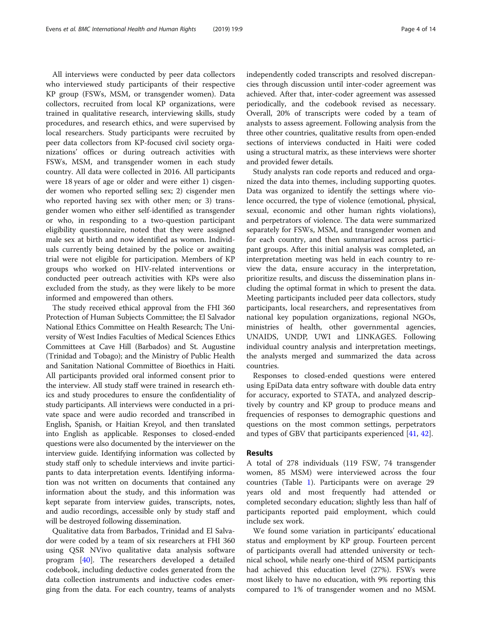All interviews were conducted by peer data collectors who interviewed study participants of their respective KP group (FSWs, MSM, or transgender women). Data collectors, recruited from local KP organizations, were trained in qualitative research, interviewing skills, study procedures, and research ethics, and were supervised by local researchers. Study participants were recruited by peer data collectors from KP-focused civil society organizations' offices or during outreach activities with FSWs, MSM, and transgender women in each study country. All data were collected in 2016. All participants were 18 years of age or older and were either 1) cisgender women who reported selling sex; 2) cisgender men who reported having sex with other men; or 3) transgender women who either self-identified as transgender or who, in responding to a two-question participant eligibility questionnaire, noted that they were assigned male sex at birth and now identified as women. Individuals currently being detained by the police or awaiting trial were not eligible for participation. Members of KP groups who worked on HIV-related interventions or conducted peer outreach activities with KPs were also excluded from the study, as they were likely to be more informed and empowered than others.

The study received ethical approval from the FHI 360 Protection of Human Subjects Committee; the El Salvador National Ethics Committee on Health Research; The University of West Indies Faculties of Medical Sciences Ethics Committees at Cave Hill (Barbados) and St. Augustine (Trinidad and Tobago); and the Ministry of Public Health and Sanitation National Committee of Bioethics in Haiti. All participants provided oral informed consent prior to the interview. All study staff were trained in research ethics and study procedures to ensure the confidentiality of study participants. All interviews were conducted in a private space and were audio recorded and transcribed in English, Spanish, or Haitian Kreyol, and then translated into English as applicable. Responses to closed-ended questions were also documented by the interviewer on the interview guide. Identifying information was collected by study staff only to schedule interviews and invite participants to data interpretation events. Identifying information was not written on documents that contained any information about the study, and this information was kept separate from interview guides, transcripts, notes, and audio recordings, accessible only by study staff and will be destroyed following dissemination.

Qualitative data from Barbados, Trinidad and El Salvador were coded by a team of six researchers at FHI 360 using QSR NVivo qualitative data analysis software program [[40\]](#page-12-0). The researchers developed a detailed codebook, including deductive codes generated from the data collection instruments and inductive codes emerging from the data. For each country, teams of analysts independently coded transcripts and resolved discrepancies through discussion until inter-coder agreement was achieved. After that, inter-coder agreement was assessed periodically, and the codebook revised as necessary. Overall, 20% of transcripts were coded by a team of analysts to assess agreement. Following analysis from the three other countries, qualitative results from open-ended sections of interviews conducted in Haiti were coded using a structural matrix, as these interviews were shorter and provided fewer details.

Study analysts ran code reports and reduced and organized the data into themes, including supporting quotes. Data was organized to identify the settings where violence occurred, the type of violence (emotional, physical, sexual, economic and other human rights violations), and perpetrators of violence. The data were summarized separately for FSWs, MSM, and transgender women and for each country, and then summarized across participant groups. After this initial analysis was completed, an interpretation meeting was held in each country to review the data, ensure accuracy in the interpretation, prioritize results, and discuss the dissemination plans including the optimal format in which to present the data. Meeting participants included peer data collectors, study participants, local researchers, and representatives from national key population organizations, regional NGOs, ministries of health, other governmental agencies, UNAIDS, UNDP, UWI and LINKAGES. Following individual country analysis and interpretation meetings, the analysts merged and summarized the data across countries.

Responses to closed-ended questions were entered using EpiData data entry software with double data entry for accuracy, exported to STATA, and analyzed descriptively by country and KP group to produce means and frequencies of responses to demographic questions and questions on the most common settings, perpetrators and types of GBV that participants experienced [\[41](#page-12-0), [42](#page-13-0)].

### Results

A total of 278 individuals (119 FSW, 74 transgender women, 85 MSM) were interviewed across the four countries (Table [1](#page-4-0)). Participants were on average 29 years old and most frequently had attended or completed secondary education; slightly less than half of participants reported paid employment, which could include sex work.

We found some variation in participants' educational status and employment by KP group. Fourteen percent of participants overall had attended university or technical school, while nearly one-third of MSM participants had achieved this education level (27%). FSWs were most likely to have no education, with 9% reporting this compared to 1% of transgender women and no MSM.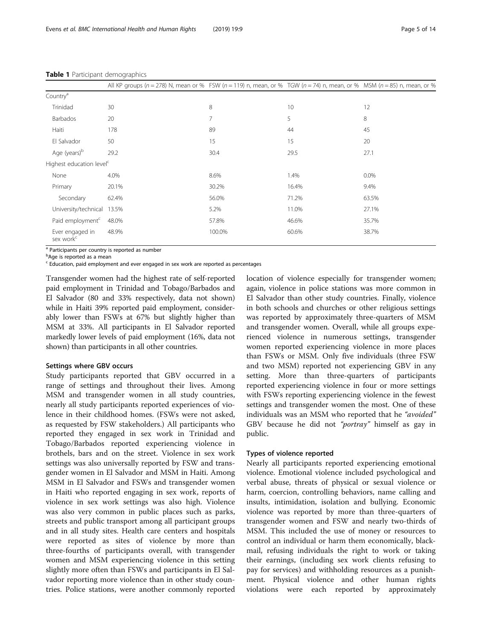|                                          | All KP groups ( $n = 278$ ) N, mean or % FSW ( $n = 119$ ) n, mean, or % TGW ( $n = 74$ ) n, mean, or % MSM ( $n = 85$ ) n, mean, or % |        |       |       |
|------------------------------------------|----------------------------------------------------------------------------------------------------------------------------------------|--------|-------|-------|
| Country <sup>a</sup>                     |                                                                                                                                        |        |       |       |
| Trinidad                                 | 30                                                                                                                                     | 8      | 10    | 12    |
| Barbados                                 | 20                                                                                                                                     | 7      | 5     | 8     |
| Haiti                                    | 178                                                                                                                                    | 89     | 44    | 45    |
| El Salvador                              | 50                                                                                                                                     | 15     | 15    | 20    |
| Age (years) <sup>b</sup>                 | 29.2                                                                                                                                   | 30.4   | 29.5  | 27.1  |
| Highest education level <sup>c</sup>     |                                                                                                                                        |        |       |       |
| None                                     | 4.0%                                                                                                                                   | 8.6%   | 1.4%  | 0.0%  |
| Primary                                  | 20.1%                                                                                                                                  | 30.2%  | 16.4% | 9.4%  |
| Secondary                                | 62.4%                                                                                                                                  | 56.0%  | 71.2% | 63.5% |
| University/technical 13.5%               |                                                                                                                                        | 5.2%   | 11.0% | 27.1% |
| Paid employment <sup>c</sup>             | 48.0%                                                                                                                                  | 57.8%  | 46.6% | 35.7% |
| Ever engaged in<br>sex work <sup>c</sup> | 48.9%                                                                                                                                  | 100.0% | 60.6% | 38.7% |

#### <span id="page-4-0"></span>Table 1 Participant demographics

<sup>a</sup> Participants per country is reported as number

<sup>b</sup>Age is reported as a mean

<sup>c</sup> Education, paid employment and ever engaged in sex work are reported as percentages

Transgender women had the highest rate of self-reported paid employment in Trinidad and Tobago/Barbados and El Salvador (80 and 33% respectively, data not shown) while in Haiti 39% reported paid employment, considerably lower than FSWs at 67% but slightly higher than MSM at 33%. All participants in El Salvador reported markedly lower levels of paid employment (16%, data not shown) than participants in all other countries.

### Settings where GBV occurs

Study participants reported that GBV occurred in a range of settings and throughout their lives. Among MSM and transgender women in all study countries, nearly all study participants reported experiences of violence in their childhood homes. (FSWs were not asked, as requested by FSW stakeholders.) All participants who reported they engaged in sex work in Trinidad and Tobago/Barbados reported experiencing violence in brothels, bars and on the street. Violence in sex work settings was also universally reported by FSW and transgender women in El Salvador and MSM in Haiti. Among MSM in El Salvador and FSWs and transgender women in Haiti who reported engaging in sex work, reports of violence in sex work settings was also high. Violence was also very common in public places such as parks, streets and public transport among all participant groups and in all study sites. Health care centers and hospitals were reported as sites of violence by more than three-fourths of participants overall, with transgender women and MSM experiencing violence in this setting slightly more often than FSWs and participants in El Salvador reporting more violence than in other study countries. Police stations, were another commonly reported

location of violence especially for transgender women; again, violence in police stations was more common in El Salvador than other study countries. Finally, violence in both schools and churches or other religious settings was reported by approximately three-quarters of MSM and transgender women. Overall, while all groups experienced violence in numerous settings, transgender women reported experiencing violence in more places than FSWs or MSM. Only five individuals (three FSW and two MSM) reported not experiencing GBV in any setting. More than three-quarters of participants reported experiencing violence in four or more settings with FSWs reporting experiencing violence in the fewest settings and transgender women the most. One of these individuals was an MSM who reported that he "avoided" GBV because he did not "*portray*" himself as gay in public.

### Types of violence reported

Nearly all participants reported experiencing emotional violence. Emotional violence included psychological and verbal abuse, threats of physical or sexual violence or harm, coercion, controlling behaviors, name calling and insults, intimidation, isolation and bullying. Economic violence was reported by more than three-quarters of transgender women and FSW and nearly two-thirds of MSM. This included the use of money or resources to control an individual or harm them economically, blackmail, refusing individuals the right to work or taking their earnings, (including sex work clients refusing to pay for services) and withholding resources as a punishment. Physical violence and other human rights violations were each reported by approximately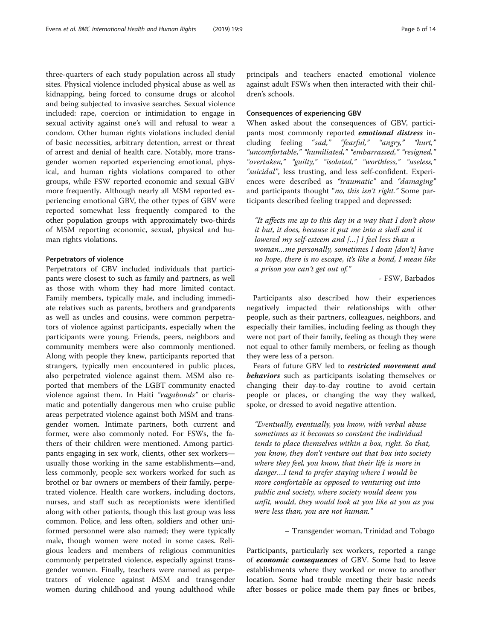three-quarters of each study population across all study sites. Physical violence included physical abuse as well as kidnapping, being forced to consume drugs or alcohol and being subjected to invasive searches. Sexual violence included: rape, coercion or intimidation to engage in sexual activity against one's will and refusal to wear a condom. Other human rights violations included denial of basic necessities, arbitrary detention, arrest or threat of arrest and denial of health care. Notably, more transgender women reported experiencing emotional, physical, and human rights violations compared to other groups, while FSW reported economic and sexual GBV more frequently. Although nearly all MSM reported experiencing emotional GBV, the other types of GBV were reported somewhat less frequently compared to the other population groups with approximately two-thirds of MSM reporting economic, sexual, physical and human rights violations.

#### Perpetrators of violence

Perpetrators of GBV included individuals that participants were closest to such as family and partners, as well as those with whom they had more limited contact. Family members, typically male, and including immediate relatives such as parents, brothers and grandparents as well as uncles and cousins, were common perpetrators of violence against participants, especially when the participants were young. Friends, peers, neighbors and community members were also commonly mentioned. Along with people they knew, participants reported that strangers, typically men encountered in public places, also perpetrated violence against them. MSM also reported that members of the LGBT community enacted violence against them. In Haiti "vagabonds" or charismatic and potentially dangerous men who cruise public areas perpetrated violence against both MSM and transgender women. Intimate partners, both current and former, were also commonly noted. For FSWs, the fathers of their children were mentioned. Among participants engaging in sex work, clients, other sex workers usually those working in the same establishments—and, less commonly, people sex workers worked for such as brothel or bar owners or members of their family, perpetrated violence. Health care workers, including doctors, nurses, and staff such as receptionists were identified along with other patients, though this last group was less common. Police, and less often, soldiers and other uniformed personnel were also named; they were typically male, though women were noted in some cases. Religious leaders and members of religious communities commonly perpetrated violence, especially against transgender women. Finally, teachers were named as perpetrators of violence against MSM and transgender women during childhood and young adulthood while

principals and teachers enacted emotional violence against adult FSWs when then interacted with their children's schools.

### Consequences of experiencing GBV

When asked about the consequences of GBV, participants most commonly reported *emotional distress* including feeling "sad," "fearful," "angry," "hurt," "uncomfortable," "humiliated," "embarrassed," "resigned," "overtaken," "guilty," "isolated," "worthless," "useless," "suicidal", less trusting, and less self-confident. Experiences were described as "traumatic" and "damaging" and participants thought "no, this isn't right." Some participants described feeling trapped and depressed:

"It affects me up to this day in a way that I don't show it but, it does, because it put me into a shell and it lowered my self-esteem and [...] I feel less than a woman...me personally, sometimes I doan [don't] have no hope, there is no escape, it's like a bond, I mean like a prison you can't get out of."

- FSW, Barbados

Participants also described how their experiences negatively impacted their relationships with other people, such as their partners, colleagues, neighbors, and especially their families, including feeling as though they were not part of their family, feeling as though they were not equal to other family members, or feeling as though they were less of a person.

Fears of future GBV led to restricted movement and behaviors such as participants isolating themselves or changing their day-to-day routine to avoid certain people or places, or changing the way they walked, spoke, or dressed to avoid negative attention.

"Eventually, eventually, you know, with verbal abuse sometimes as it becomes so constant the individual tends to place themselves within a box, right. So that, you know, they don't venture out that box into society where they feel, you know, that their life is more in danger…I tend to prefer staying where I would be more comfortable as opposed to venturing out into public and society, where society would deem you unfit, would, they would look at you like at you as you were less than, you are not human."

– Transgender woman, Trinidad and Tobago

Participants, particularly sex workers, reported a range of *economic consequences* of GBV. Some had to leave establishments where they worked or move to another location. Some had trouble meeting their basic needs after bosses or police made them pay fines or bribes,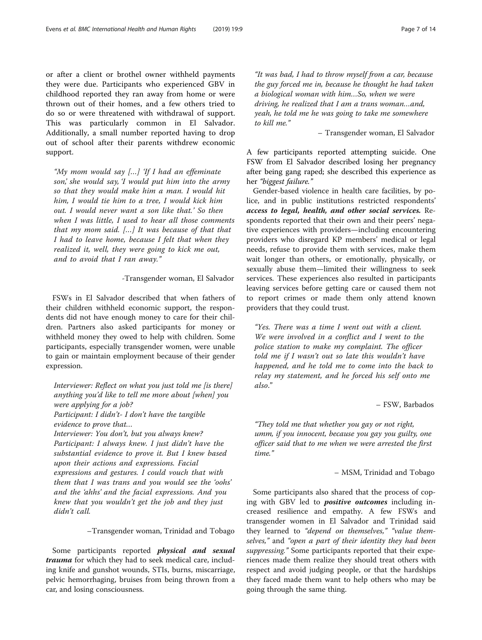or after a client or brothel owner withheld payments they were due. Participants who experienced GBV in childhood reported they ran away from home or were thrown out of their homes, and a few others tried to do so or were threatened with withdrawal of support. This was particularly common in El Salvador. Additionally, a small number reported having to drop out of school after their parents withdrew economic support.

"My mom would say […] 'If I had an effeminate son,' she would say, 'I would put him into the army so that they would make him a man. I would hit him, I would tie him to a tree, I would kick him out. I would never want a son like that.' So then when I was little, I used to hear all those comments that my mom said.  $[...]$  It was because of that that I had to leave home, because I felt that when they realized it, well, they were going to kick me out, and to avoid that I ran away."

-Transgender woman, El Salvador

FSWs in El Salvador described that when fathers of their children withheld economic support, the respondents did not have enough money to care for their children. Partners also asked participants for money or withheld money they owed to help with children. Some participants, especially transgender women, were unable to gain or maintain employment because of their gender expression.

Interviewer: Reflect on what you just told me [is there] anything you'd like to tell me more about [when] you were applying for a job? Participant: I didn't- I don't have the tangible evidence to prove that… Interviewer: You don't, but you always knew? Participant: I always knew. I just didn't have the substantial evidence to prove it. But I knew based upon their actions and expressions. Facial expressions and gestures. I could vouch that with them that I was trans and you would see the 'oohs' and the 'ahhs' and the facial expressions. And you knew that you wouldn't get the job and they just didn't call.

–Transgender woman, Trinidad and Tobago

Some participants reported *physical and sexual* trauma for which they had to seek medical care, including knife and gunshot wounds, STIs, burns, miscarriage, pelvic hemorrhaging, bruises from being thrown from a car, and losing consciousness.

"It was bad, I had to throw myself from a car, because the guy forced me in, because he thought he had taken a biological woman with him…So, when we were driving, he realized that I am a trans woman…and, yeah, he told me he was going to take me somewhere to kill me."

– Transgender woman, El Salvador

A few participants reported attempting suicide. One FSW from El Salvador described losing her pregnancy after being gang raped; she described this experience as her "biggest failure."

Gender-based violence in health care facilities, by police, and in public institutions restricted respondents' access to legal, health, and other social services. Respondents reported that their own and their peers' negative experiences with providers—including encountering providers who disregard KP members' medical or legal needs, refuse to provide them with services, make them wait longer than others, or emotionally, physically, or sexually abuse them—limited their willingness to seek services. These experiences also resulted in participants leaving services before getting care or caused them not to report crimes or made them only attend known providers that they could trust.

"Yes. There was a time I went out with a client. We were involved in a conflict and I went to the police station to make my complaint. The officer told me if I wasn't out so late this wouldn't have happened, and he told me to come into the back to relay my statement, and he forced his self onto me also."

– FSW, Barbados

"They told me that whether you gay or not right, umm, if you innocent, because you gay you guilty, one officer said that to me when we were arrested the first time."

– MSM, Trinidad and Tobago

Some participants also shared that the process of coping with GBV led to *positive outcomes* including increased resilience and empathy. A few FSWs and transgender women in El Salvador and Trinidad said they learned to "depend on themselves," "value themselves," and "open a part of their identity they had been suppressing." Some participants reported that their experiences made them realize they should treat others with respect and avoid judging people, or that the hardships they faced made them want to help others who may be going through the same thing.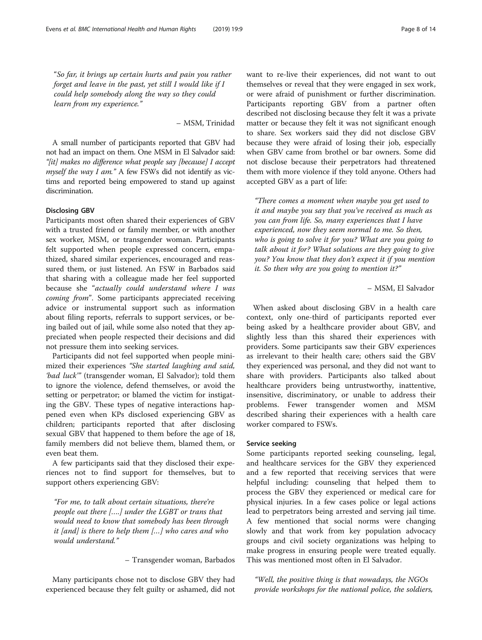"So far, it brings up certain hurts and pain you rather forget and leave in the past, yet still I would like if I could help somebody along the way so they could learn from my experience."

– MSM, Trinidad

A small number of participants reported that GBV had not had an impact on them. One MSM in El Salvador said: "[it] makes no difference what people say [because] I accept myself the way I am." A few FSWs did not identify as victims and reported being empowered to stand up against discrimination.

### Disclosing GBV

Participants most often shared their experiences of GBV with a trusted friend or family member, or with another sex worker, MSM, or transgender woman. Participants felt supported when people expressed concern, empathized, shared similar experiences, encouraged and reassured them, or just listened. An FSW in Barbados said that sharing with a colleague made her feel supported because she "actually could understand where I was coming from". Some participants appreciated receiving advice or instrumental support such as information about filing reports, referrals to support services, or being bailed out of jail, while some also noted that they appreciated when people respected their decisions and did not pressure them into seeking services.

Participants did not feel supported when people minimized their experiences "She started laughing and said, 'bad luck'" (transgender woman, El Salvador); told them to ignore the violence, defend themselves, or avoid the setting or perpetrator; or blamed the victim for instigating the GBV. These types of negative interactions happened even when KPs disclosed experiencing GBV as children; participants reported that after disclosing sexual GBV that happened to them before the age of 18, family members did not believe them, blamed them, or even beat them.

A few participants said that they disclosed their experiences not to find support for themselves, but to support others experiencing GBV:

"For me, to talk about certain situations, there're people out there [….] under the LGBT or trans that would need to know that somebody has been through it [and] is there to help them […] who cares and who would understand."

– Transgender woman, Barbados

Many participants chose not to disclose GBV they had experienced because they felt guilty or ashamed, did not want to re-live their experiences, did not want to out themselves or reveal that they were engaged in sex work, or were afraid of punishment or further discrimination. Participants reporting GBV from a partner often described not disclosing because they felt it was a private matter or because they felt it was not significant enough to share. Sex workers said they did not disclose GBV because they were afraid of losing their job, especially when GBV came from brothel or bar owners. Some did not disclose because their perpetrators had threatened them with more violence if they told anyone. Others had accepted GBV as a part of life:

"There comes a moment when maybe you get used to it and maybe you say that you've received as much as you can from life. So, many experiences that I have experienced, now they seem normal to me. So then, who is going to solve it for you? What are you going to talk about it for? What solutions are they going to give you? You know that they don't expect it if you mention it. So then why are you going to mention it?"

– MSM, El Salvador

When asked about disclosing GBV in a health care context, only one-third of participants reported ever being asked by a healthcare provider about GBV, and slightly less than this shared their experiences with providers. Some participants saw their GBV experiences as irrelevant to their health care; others said the GBV they experienced was personal, and they did not want to share with providers. Participants also talked about healthcare providers being untrustworthy, inattentive, insensitive, discriminatory, or unable to address their problems. Fewer transgender women and MSM described sharing their experiences with a health care worker compared to FSWs.

### Service seeking

Some participants reported seeking counseling, legal, and healthcare services for the GBV they experienced and a few reported that receiving services that were helpful including: counseling that helped them to process the GBV they experienced or medical care for physical injuries. In a few cases police or legal actions lead to perpetrators being arrested and serving jail time. A few mentioned that social norms were changing slowly and that work from key population advocacy groups and civil society organizations was helping to make progress in ensuring people were treated equally. This was mentioned most often in El Salvador.

"Well, the positive thing is that nowadays, the NGOs provide workshops for the national police, the soldiers,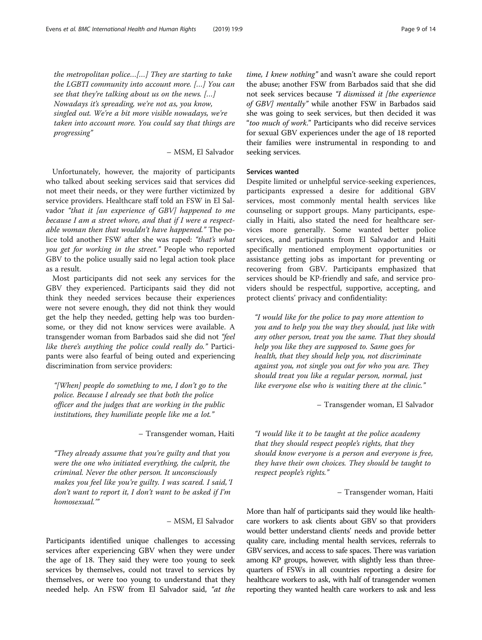the metropolitan police…[…] They are starting to take the LGBTI community into account more. […] You can see that they're talking about us on the news. […] Nowadays it's spreading, we're not as, you know, singled out. We're a bit more visible nowadays, we're taken into account more. You could say that things are progressing"

– MSM, El Salvador

Unfortunately, however, the majority of participants who talked about seeking services said that services did not meet their needs, or they were further victimized by service providers. Healthcare staff told an FSW in El Salvador "that it [an experience of GBV] happened to me because I am a street whore, and that if I were a respectable woman then that wouldn't have happened." The police told another FSW after she was raped: "that's what you get for working in the street." People who reported GBV to the police usually said no legal action took place as a result.

Most participants did not seek any services for the GBV they experienced. Participants said they did not think they needed services because their experiences were not severe enough, they did not think they would get the help they needed, getting help was too burdensome, or they did not know services were available. A transgender woman from Barbados said she did not "feel like there's anything the police could really do." Participants were also fearful of being outed and experiencing discrimination from service providers:

"[When] people do something to me, I don't go to the police. Because I already see that both the police officer and the judges that are working in the public institutions, they humiliate people like me a lot."

– Transgender woman, Haiti

"They already assume that you're guilty and that you were the one who initiated everything, the culprit, the criminal. Never the other person. It unconsciously makes you feel like you're guilty. I was scared. I said, 'I don't want to report it, I don't want to be asked if I'm homosexual.'"

– MSM, El Salvador

Participants identified unique challenges to accessing services after experiencing GBV when they were under the age of 18. They said they were too young to seek services by themselves, could not travel to services by themselves, or were too young to understand that they needed help. An FSW from El Salvador said, "at the time, I knew nothing" and wasn't aware she could report the abuse; another FSW from Barbados said that she did not seek services because "I dismissed it [the experience of GBV] mentally" while another FSW in Barbados said she was going to seek services, but then decided it was "too much of work." Participants who did receive services for sexual GBV experiences under the age of 18 reported their families were instrumental in responding to and seeking services.

#### Services wanted

Despite limited or unhelpful service-seeking experiences, participants expressed a desire for additional GBV services, most commonly mental health services like counseling or support groups. Many participants, especially in Haiti, also stated the need for healthcare services more generally. Some wanted better police services, and participants from El Salvador and Haiti specifically mentioned employment opportunities or assistance getting jobs as important for preventing or recovering from GBV. Participants emphasized that services should be KP-friendly and safe, and service providers should be respectful, supportive, accepting, and protect clients' privacy and confidentiality:

"I would like for the police to pay more attention to you and to help you the way they should, just like with any other person, treat you the same. That they should help you like they are supposed to. Same goes for health, that they should help you, not discriminate against you, not single you out for who you are. They should treat you like a regular person, normal, just like everyone else who is waiting there at the clinic."

– Transgender woman, El Salvador

"I would like it to be taught at the police academy that they should respect people's rights, that they should know everyone is a person and everyone is free, they have their own choices. They should be taught to respect people's rights."

– Transgender woman, Haiti

More than half of participants said they would like healthcare workers to ask clients about GBV so that providers would better understand clients' needs and provide better quality care, including mental health services, referrals to GBV services, and access to safe spaces. There was variation among KP groups, however, with slightly less than threequarters of FSWs in all countries reporting a desire for healthcare workers to ask, with half of transgender women reporting they wanted health care workers to ask and less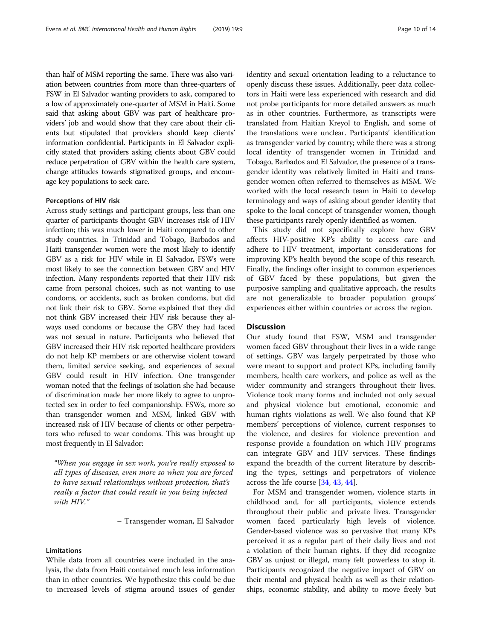than half of MSM reporting the same. There was also variation between countries from more than three-quarters of FSW in El Salvador wanting providers to ask, compared to a low of approximately one-quarter of MSM in Haiti. Some said that asking about GBV was part of healthcare providers' job and would show that they care about their clients but stipulated that providers should keep clients' information confidential. Participants in El Salvador explicitly stated that providers asking clients about GBV could reduce perpetration of GBV within the health care system, change attitudes towards stigmatized groups, and encourage key populations to seek care.

#### Perceptions of HIV risk

Across study settings and participant groups, less than one quarter of participants thought GBV increases risk of HIV infection; this was much lower in Haiti compared to other study countries. In Trinidad and Tobago, Barbados and Haiti transgender women were the most likely to identify GBV as a risk for HIV while in El Salvador, FSWs were most likely to see the connection between GBV and HIV infection. Many respondents reported that their HIV risk came from personal choices, such as not wanting to use condoms, or accidents, such as broken condoms, but did not link their risk to GBV. Some explained that they did not think GBV increased their HIV risk because they always used condoms or because the GBV they had faced was not sexual in nature. Participants who believed that GBV increased their HIV risk reported healthcare providers do not help KP members or are otherwise violent toward them, limited service seeking, and experiences of sexual GBV could result in HIV infection. One transgender woman noted that the feelings of isolation she had because of discrimination made her more likely to agree to unprotected sex in order to feel companionship. FSWs, more so than transgender women and MSM, linked GBV with increased risk of HIV because of clients or other perpetrators who refused to wear condoms. This was brought up most frequently in El Salvador:

"When you engage in sex work, you're really exposed to all types of diseases, even more so when you are forced to have sexual relationships without protection, that's really a factor that could result in you being infected with HIV."

– Transgender woman, El Salvador

### Limitations

While data from all countries were included in the analysis, the data from Haiti contained much less information than in other countries. We hypothesize this could be due to increased levels of stigma around issues of gender identity and sexual orientation leading to a reluctance to openly discuss these issues. Additionally, peer data collectors in Haiti were less experienced with research and did not probe participants for more detailed answers as much as in other countries. Furthermore, as transcripts were translated from Haitian Kreyol to English, and some of the translations were unclear. Participants' identification as transgender varied by country; while there was a strong local identity of transgender women in Trinidad and Tobago, Barbados and El Salvador, the presence of a transgender identity was relatively limited in Haiti and transgender women often referred to themselves as MSM. We worked with the local research team in Haiti to develop terminology and ways of asking about gender identity that spoke to the local concept of transgender women, though these participants rarely openly identified as women.

This study did not specifically explore how GBV affects HIV-positive KP's ability to access care and adhere to HIV treatment, important considerations for improving KP's health beyond the scope of this research. Finally, the findings offer insight to common experiences of GBV faced by these populations, but given the purposive sampling and qualitative approach, the results are not generalizable to broader population groups' experiences either within countries or across the region.

### **Discussion**

Our study found that FSW, MSM and transgender women faced GBV throughout their lives in a wide range of settings. GBV was largely perpetrated by those who were meant to support and protect KPs, including family members, health care workers, and police as well as the wider community and strangers throughout their lives. Violence took many forms and included not only sexual and physical violence but emotional, economic and human rights violations as well. We also found that KP members' perceptions of violence, current responses to the violence, and desires for violence prevention and response provide a foundation on which HIV programs can integrate GBV and HIV services. These findings expand the breadth of the current literature by describing the types, settings and perpetrators of violence across the life course [[34,](#page-12-0) [43,](#page-13-0) [44](#page-13-0)].

For MSM and transgender women, violence starts in childhood and, for all participants, violence extends throughout their public and private lives. Transgender women faced particularly high levels of violence. Gender-based violence was so pervasive that many KPs perceived it as a regular part of their daily lives and not a violation of their human rights. If they did recognize GBV as unjust or illegal, many felt powerless to stop it. Participants recognized the negative impact of GBV on their mental and physical health as well as their relationships, economic stability, and ability to move freely but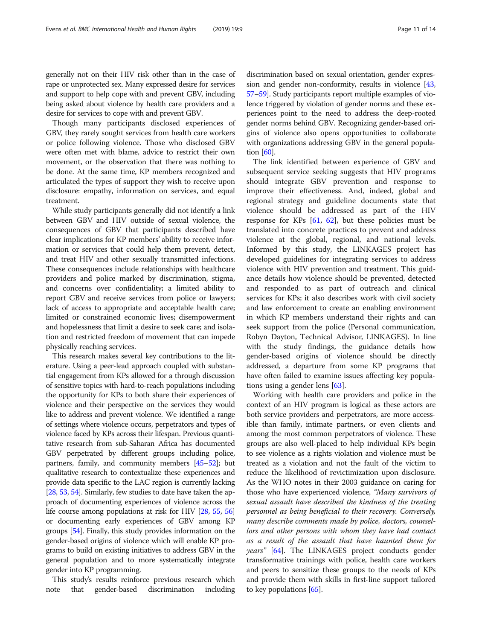generally not on their HIV risk other than in the case of rape or unprotected sex. Many expressed desire for services and support to help cope with and prevent GBV, including being asked about violence by health care providers and a desire for services to cope with and prevent GBV.

Though many participants disclosed experiences of GBV, they rarely sought services from health care workers or police following violence. Those who disclosed GBV were often met with blame, advice to restrict their own movement, or the observation that there was nothing to be done. At the same time, KP members recognized and articulated the types of support they wish to receive upon disclosure: empathy, information on services, and equal treatment.

While study participants generally did not identify a link between GBV and HIV outside of sexual violence, the consequences of GBV that participants described have clear implications for KP members' ability to receive information or services that could help them prevent, detect, and treat HIV and other sexually transmitted infections. These consequences include relationships with healthcare providers and police marked by discrimination, stigma, and concerns over confidentiality; a limited ability to report GBV and receive services from police or lawyers; lack of access to appropriate and acceptable health care; limited or constrained economic lives; disempowerment and hopelessness that limit a desire to seek care; and isolation and restricted freedom of movement that can impede physically reaching services.

This research makes several key contributions to the literature. Using a peer-lead approach coupled with substantial engagement from KPs allowed for a through discussion of sensitive topics with hard-to-reach populations including the opportunity for KPs to both share their experiences of violence and their perspective on the services they would like to address and prevent violence. We identified a range of settings where violence occurs, perpetrators and types of violence faced by KPs across their lifespan. Previous quantitative research from sub-Saharan Africa has documented GBV perpetrated by different groups including police, partners, family, and community members [\[45](#page-13-0)–[52](#page-13-0)]; but qualitative research to contextualize these experiences and provide data specific to the LAC region is currently lacking [[28](#page-12-0), [53](#page-13-0), [54](#page-13-0)]. Similarly, few studies to date have taken the approach of documenting experiences of violence across the life course among populations at risk for HIV [\[28](#page-12-0), [55](#page-13-0), [56](#page-13-0)] or documenting early experiences of GBV among KP groups [[54\]](#page-13-0). Finally, this study provides information on the gender-based origins of violence which will enable KP programs to build on existing initiatives to address GBV in the general population and to more systematically integrate gender into KP programming.

This study's results reinforce previous research which note that gender-based discrimination including discrimination based on sexual orientation, gender expression and gender non-conformity, results in violence [[43](#page-13-0), [57](#page-13-0)–[59\]](#page-13-0). Study participants report multiple examples of violence triggered by violation of gender norms and these experiences point to the need to address the deep-rooted gender norms behind GBV. Recognizing gender-based origins of violence also opens opportunities to collaborate with organizations addressing GBV in the general population [\[60\]](#page-13-0).

The link identified between experience of GBV and subsequent service seeking suggests that HIV programs should integrate GBV prevention and response to improve their effectiveness. And, indeed, global and regional strategy and guideline documents state that violence should be addressed as part of the HIV response for KPs [\[61,](#page-13-0) [62](#page-13-0)], but these policies must be translated into concrete practices to prevent and address violence at the global, regional, and national levels. Informed by this study, the LINKAGES project has developed guidelines for integrating services to address violence with HIV prevention and treatment. This guidance details how violence should be prevented, detected and responded to as part of outreach and clinical services for KPs; it also describes work with civil society and law enforcement to create an enabling environment in which KP members understand their rights and can seek support from the police (Personal communication, Robyn Dayton, Technical Advisor, LINKAGES). In line with the study findings, the guidance details how gender-based origins of violence should be directly addressed, a departure from some KP programs that have often failed to examine issues affecting key populations using a gender lens [[63\]](#page-13-0).

Working with health care providers and police in the context of an HIV program is logical as these actors are both service providers and perpetrators, are more accessible than family, intimate partners, or even clients and among the most common perpetrators of violence. These groups are also well-placed to help individual KPs begin to see violence as a rights violation and violence must be treated as a violation and not the fault of the victim to reduce the likelihood of revictimization upon disclosure. As the WHO notes in their 2003 guidance on caring for those who have experienced violence, "Many survivors of sexual assault have described the kindness of the treating personnel as being beneficial to their recovery. Conversely, many describe comments made by police, doctors, counsellors and other persons with whom they have had contact as a result of the assault that have haunted them for years" [\[64\]](#page-13-0). The LINKAGES project conducts gender transformative trainings with police, health care workers and peers to sensitize these groups to the needs of KPs and provide them with skills in first-line support tailored to key populations [\[65\]](#page-13-0).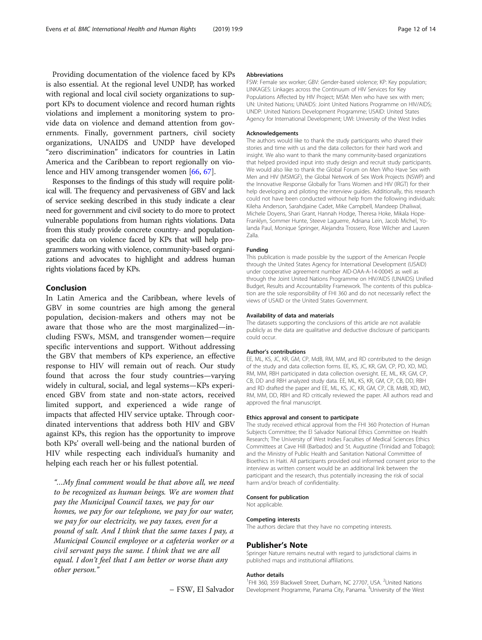Providing documentation of the violence faced by KPs is also essential. At the regional level UNDP, has worked with regional and local civil society organizations to support KPs to document violence and record human rights violations and implement a monitoring system to provide data on violence and demand attention from governments. Finally, government partners, civil society organizations, UNAIDS and UNDP have developed "zero discrimination" indicators for countries in Latin America and the Caribbean to report regionally on violence and HIV among transgender women [[66,](#page-13-0) [67](#page-13-0)].

Responses to the findings of this study will require political will. The frequency and pervasiveness of GBV and lack of service seeking described in this study indicate a clear need for government and civil society to do more to protect vulnerable populations from human rights violations. Data from this study provide concrete country- and populationspecific data on violence faced by KPs that will help programmers working with violence, community-based organizations and advocates to highlight and address human rights violations faced by KPs.

### Conclusion

In Latin America and the Caribbean, where levels of GBV in some countries are high among the general population, decision-makers and others may not be aware that those who are the most marginalized—including FSWs, MSM, and transgender women—require specific interventions and support. Without addressing the GBV that members of KPs experience, an effective response to HIV will remain out of reach. Our study found that across the four study countries—varying widely in cultural, social, and legal systems—KPs experienced GBV from state and non-state actors, received limited support, and experienced a wide range of impacts that affected HIV service uptake. Through coordinated interventions that address both HIV and GBV against KPs, this region has the opportunity to improve both KPs' overall well-being and the national burden of HIV while respecting each individual's humanity and helping each reach her or his fullest potential.

"…My final comment would be that above all, we need to be recognized as human beings. We are women that pay the Municipal Council taxes, we pay for our homes, we pay for our telephone, we pay for our water, we pay for our electricity, we pay taxes, even for a pound of salt. And I think that the same taxes I pay, a Municipal Council employee or a cafeteria worker or a civil servant pays the same. I think that we are all equal. I don't feel that I am better or worse than any other person."

– FSW, El Salvador

#### Abbreviations

FSW: Female sex worker; GBV: Gender-based violence; KP: Key population; LINKAGES: Linkages across the Continuum of HIV Services for Key Populations Affected by HIV Project; MSM: Men who have sex with men; UN: United Nations; UNAIDS: Joint United Nations Programme on HIV/AIDS; UNDP: United Nations Development Programme; USAID: United States Agency for International Development; UWI: University of the West Indies

#### Acknowledgements

The authors would like to thank the study participants who shared their stories and time with us and the data collectors for their hard work and insight. We also want to thank the many community-based organizations that helped provided input into study design and recruit study participants. We would also like to thank the Global Forum on Men Who Have Sex with Men and HIV (MSMGF), the Global Network of Sex Work Projects (NSWP) and the Innovative Response Globally for Trans Women and HIV (IRGT) for their help developing and piloting the interview guides. Additionally, this research could not have been conducted without help from the following individuals: Kileha Anderson, Sarahdjaine Cadet, Mike Campbell, Mandeep Dhaliwal, Michele Doyens, Shari Grant, Hannah Hodge, Theresa Hoke, Mikala Hope-Franklyn, Sommer Hunte, Steeve Laguerre, Adriana Lein, Jacob Michel, Yolanda Paul, Monique Springer, Alejandra Trossero, Rose Wilcher and Lauren Zalla.

#### Funding

This publication is made possible by the support of the American People through the United States Agency for International Development (USAID) under cooperative agreement number AID-OAA-A-14-00045 as well as through the Joint United Nations Programme on HIV/AIDS (UNAIDS) Unified Budget, Results and Accountability Framework. The contents of this publication are the sole responsibility of FHI 360 and do not necessarily reflect the views of USAID or the United States Government.

#### Availability of data and materials

The datasets supporting the conclusions of this article are not available publicly as the data are qualitative and deductive disclosure of participants could occur.

#### Author's contributions

EE, ML, KS, JC, KR, GM, CP, MdB, RM, MM, and RD contributed to the design of the study and data collection forms. EE, KS, JC, KR, GM, CP, PD, XD, MD, RM, MM, RBH participated in data collection oversight. EE, ML, KR, GM, CP, CB, DD and RBH analyzed study data. EE, ML, KS, KR, GM, CP, CB, DD, RBH and RD drafted the paper and EE, ML, KS, JC, KR, GM, CP, CB, MdB, XD, MD, RM, MM, DD, RBH and RD critically reviewed the paper. All authors read and approved the final manuscript.

#### Ethics approval and consent to participate

The study received ethical approval from the FHI 360 Protection of Human Subjects Committee; the El Salvador National Ethics Committee on Health Research; The University of West Indies Faculties of Medical Sciences Ethics Committees at Cave Hill (Barbados) and St. Augustine (Trinidad and Tobago); and the Ministry of Public Health and Sanitation National Committee of Bioethics in Haiti. All participants provided oral informed consent prior to the interview as written consent would be an additional link between the participant and the research, thus potentially increasing the risk of social harm and/or breach of confidentiality.

#### Consent for publication

Not applicable.

#### Competing interests

The authors declare that they have no competing interests.

#### Publisher's Note

Springer Nature remains neutral with regard to jurisdictional claims in published maps and institutional affiliations.

#### Author details

<sup>1</sup>FHI 360, 359 Blackwell Street, Durham, NC 27707, USA. <sup>2</sup>United Nations Development Programme, Panama City, Panama. <sup>3</sup>University of the West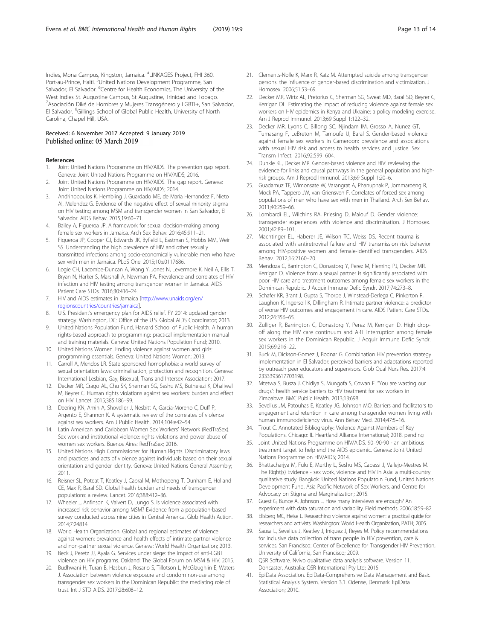<span id="page-12-0"></span>Indies, Mona Campus, Kingston, Jamaica. <sup>4</sup>LINKAGES Project, FHI 360, Port-au-Prince, Haiti. <sup>5</sup>United Nations Development Programme, San Salvador, El Salvador. <sup>6</sup>Centre for Health Economics, The University of the West Indies St. Augustine Campus, St Augustine, Trinidad and Tobago. 7 Asociación Diké de Hombres y Mujeres Transgénero y LGBTI+, San Salvador, El Salvador. <sup>8</sup>Gillings School of Global Public Health, University of North Carolina, Chapel Hill, USA.

#### Received: 6 November 2017 Accepted: 9 January 2019 Published online: 05 March 2019

#### References

- 1. Joint United Nations Programme on HIV/AIDS. The prevention gap report. Geneva: Joint United Nations Programme on HIV/AIDS; 2016.
- 2. Joint United Nations Programme on HIV/AIDS. The gap report. Geneva: Joint United Nations Programme on HIV/AIDS; 2014.
- 3. Andrinopoulos K, Hembling J, Guardado ME, de Maria Hernandez F, Nieto AI, Melendez G. Evidence of the negative effect of sexual minority stigma on HIV testing among MSM and transgender women in San Salvador, El Salvador. AIDS Behav. 2015;19:60–71.
- Bailey A, Figueroa JP. A framework for sexual decision-making among female sex workers in Jamaica. Arch Sex Behav. 2016;45:911–21.
- 5. Figueroa JP, Cooper CJ, Edwards JK, Byfield L, Eastman S, Hobbs MM, Weir SS. Understanding the high prevalence of HIV and other sexually transmitted infections among socio-economically vulnerable men who have sex with men in Jamaica. PLoS One. 2015;10:e0117686.
- Logie CH, Lacombe-Duncan A, Wang Y, Jones N, Levermore K, Neil A, Ellis T, Bryan N, Harker S, Marshall A, Newman PA. Prevalence and correlates of HIV infection and HIV testing among transgender women in Jamaica. AIDS Patient Care STDs. 2016;30:416–24.
- 7. HIV and AIDS estimates in Jamaica [[http://www.unaids.org/en/](http://www.unaids.org/en/regionscountries/countries/jamaica) [regionscountries/countries/jamaica](http://www.unaids.org/en/regionscountries/countries/jamaica)].
- 8. U.S. President's emergency plan for AIDS relief. FY 2014: updated gender strategy. Washington, DC: Office of the U.S. Global AIDS Coordinator; 2013.
- 9. United Nations Population Fund, Harvard School of Public Health. A human rights-based approach to programming: practical implementation manual and training materials. Geneva: United Nations Population Fund; 2010.
- 10. United Nations Women. Ending violence against women and girls: programming essentials. Geneva: United Nations Women; 2013.
- 11. Carroll A, Mendos LR. State sponsored homophobia: a world survey of sexual orientation laws: criminalisation, protection and recognition. Geneva: International Lesbian, Gay, Bisexual, Trans and Intersex Association; 2017.
- 12. Decker MR, Crago AL, Chu SK, Sherman SG, Seshu MS, Buthelezi K, Dhaliwal M, Beyrer C. Human rights violations against sex workers: burden and effect on HIV. Lancet. 2015;385:186–99.
- 13. Deering KN, Amin A, Shoveller J, Nesbitt A, Garcia-Moreno C, Duff P, Argento E, Shannon K. A systematic review of the correlates of violence against sex workers. Am J Public Health. 2014;104:e42–54.
- 14. Latin American and Caribbean Women Sex Workers' Network (RedTraSex). Sex work and institutional violence: rights violations and power abuse of women sex workers. Buenos Aires: RedTraSex; 2016.
- 15. United Nations High Commissioner for Human Rights. Discriminatory laws and practices and acts of violence against individuals based on their sexual orientation and gender identity. Geneva: United Nations General Assembly; 2011.
- 16. Reisner SL, Poteat T, Keatley J, Cabral M, Mothopeng T, Dunham E, Holland CE, Max R, Baral SD. Global health burden and needs of transgender populations: a review. Lancet. 2016;388:412–36.
- 17. Wheeler J, Anfinson K, Valvert D, Lungo S. Is violence associated with increased risk behavior among MSM? Evidence from a population-based survey conducted across nine cities in Central America. Glob Health Action. 2014;7:24814.
- 18. World Health Organization. Global and regional estimates of violence against women: prevalence and health effects of intimate partner violence and non-partner sexual violence. Geneva: World Health Organization; 2013.
- 19. Beck J, Peretz JJ, Ayala G. Services under siege: the impact of anti-LGBT violence on HIV programs. Oakland: The Global Forum on MSM & HIV; 2015.
- 20. Budhwani H, Turan B, Hasbun J, Rosario S, Tillotson L, McGlaughlin E, Waters J. Association between violence exposure and condom non-use among transgender sex workers in the Dominican Republic: the mediating role of trust. Int J STD AIDS. 2017;28:608–12.
- 21. Clements-Nolle K, Marx R, Katz M. Attempted suicide among transgender persons: the influence of gender-based discrimination and victimization. J Homosex. 2006;51:53–69.
- 22. Decker MR, Wirtz AL, Pretorius C, Sherman SG, Sweat MD, Baral SD, Beyrer C, Kerrigan DL. Estimating the impact of reducing violence against female sex workers on HIV epidemics in Kenya and Ukraine: a policy modeling exercise. Am J Reprod Immunol. 2013;69 Suppl 1:122–32.
- 23. Decker MR, Lyons C, Billong SC, Njindam IM, Grosso A, Nunez GT, Tumasang F, LeBreton M, Tamoufe U, Baral S. Gender-based violence against female sex workers in Cameroon: prevalence and associations with sexual HIV risk and access to health services and justice. Sex Transm Infect. 2016;92:599–604.
- 24. Dunkle KL, Decker MR. Gender-based violence and HIV: reviewing the evidence for links and causal pathways in the general population and highrisk groups. Am J Reprod Immunol. 2013;69 Suppl 1:20–6.
- 25. Guadamuz TE, Wimonsate W, Varangrat A, Phanuphak P, Jommaroeng R, Mock PA, Tappero JW, van Griensven F. Correlates of forced sex among populations of men who have sex with men in Thailand. Arch Sex Behav. 2011;40:259–66.
- 26. Lombardi EL, Wilchins RA, Priesing D, Malouf D. Gender violence: transgender experiences with violence and discrimination. J Homosex. 2001;42:89–101.
- 27. Machtinger EL, Haberer JE, Wilson TC, Weiss DS. Recent trauma is associated with antiretroviral failure and HIV transmission risk behavior among HIV-positive women and female-identified transgenders. AIDS Behav. 2012;16:2160–70.
- 28. Mendoza C, Barrington C, Donastorg Y, Perez M, Fleming PJ, Decker MR, Kerrigan D. Violence from a sexual partner is significantly associated with poor HIV care and treatment outcomes among female sex workers in the Dominican Republic. J Acquir Immune Defic Syndr. 2017;74:273–8.
- 29. Schafer KR, Brant J, Gupta S, Thorpe J, Winstead-Derlega C, Pinkerton R, Laughon K, Ingersoll K, Dillingham R. Intimate partner violence: a predictor of worse HIV outcomes and engagement in care. AIDS Patient Care STDs. 2012;26:356–65.
- 30. Zulliger R, Barrington C, Donastorg Y, Perez M, Kerrigan D. High dropoff along the HIV care continuum and ART interruption among female sex workers in the Dominican Republic. J Acquir Immune Defic Syndr. 2015;69:216–22.
- 31. Buck M, Dickson-Gomez J, Bodnar G. Combination HIV prevention strategy implementation in El Salvador: perceived barriers and adaptations reported by outreach peer educators and supervisors. Glob Qual Nurs Res. 2017;4: 2333393617703198.
- 32. Mtetwa S, Busza J, Chidiya S, Mungofa S, Cowan F. "You are wasting our drugs": health service barriers to HIV treatment for sex workers in Zimbabwe. BMC Public Health. 2013;13:698.
- 33. Sevelius JM, Patouhas E, Keatley JG, Johnson MO. Barriers and facilitators to engagement and retention in care among transgender women living with human immunodeficiency virus. Ann Behav Med. 2014;47:5–16.
- 34. Trout C. Annotated Bibliography: Violence Against Members of Key Populations. Chicago: IL Heartland Alliance International; 2018. pending
- 35. Joint United Nations Programme on HIV/AIDS. 90–90-90 an ambitious treatment target to help end the AIDS epidemic. Geneva: Joint United Nations Programme on HIV/AIDS; 2014.
- 36. Bhattacharjya M, Fulu E, Murthy L, Seshu MS, Cabassi J, Vallejo-Mestres M. The Right(s) Evidence - sex work, violence and HIV in Asia: a multi-country qualitative study. Bangkok: United Nations Populatoin Fund, United Nations Development Fund, Asia Pacific Network of Sex Workers, and Centre for Advocacy on Stigma and Marginalization; 2015.
- 37. Guest G, Bunce A, Johnson L. How many interviews are enough? An experiment with data saturation and variability. Field methods. 2006;18:59–82.
- Ellsberg MC, Heise L. Researching violence against women: a practical guide for researchers and activists. Washington: World Health Organization, PATH; 2005.
- 39. Sausa L, Sevelius J, Keatley J, Iniguez J, Reyes M. Policy recommendations for inclusive data collection of trans people in HIV prevention, care & services. San Francisco: Center of Excellence for Transgender HIV Prevention, University of California, San Francisco; 2009.
- 40. QSR Software. Nvivo qualitative data analysis software. Version 11. Doncaster, Australia: QSR International Pty Ltd; 2015.
- 41. EpiData Association. EpiData-Comprehensive Data Management and Basic Statistical Analysis System. Version 3.1. Odense, Denmark: EpiData Association; 2010.